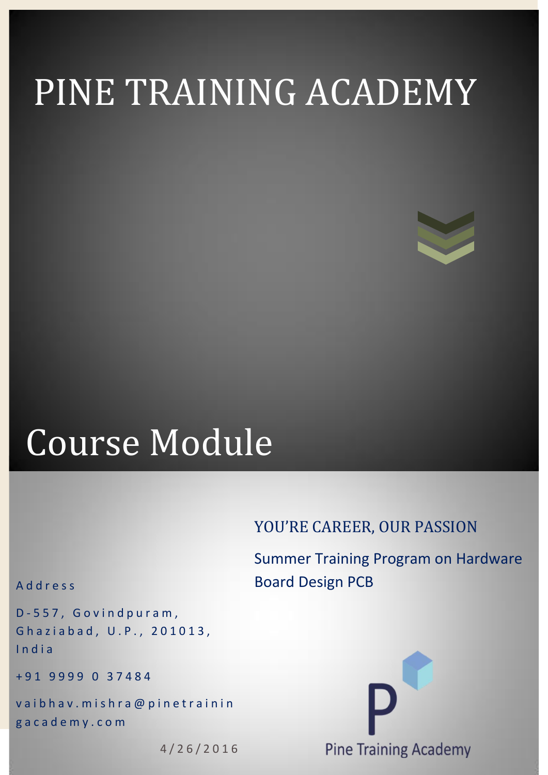# PINE TRAINING ACADEMY

# Course Module

## YOU'RE CAREER, OUR PASSION

Summer Training Program on Hardware Board Design PCB

#### A d d r e s s

D-557, Govindpuram, Ghaziabad, U.P., 201013, I n d i a

+ 9 1 9 9 9 9 0 3 7 4 8 4

vaibhav. mishra@pinetrainin g a c a d e m y . c o m

4 / 2 6 / 2 0 1 6

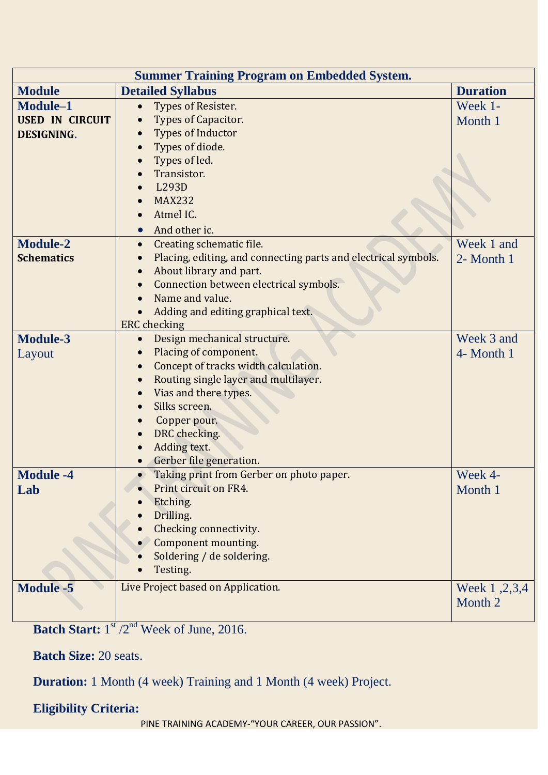| <b>Summer Training Program on Embedded System.</b> |                                                                |                 |
|----------------------------------------------------|----------------------------------------------------------------|-----------------|
| <b>Module</b>                                      | <b>Detailed Syllabus</b>                                       | <b>Duration</b> |
| Module-1                                           | Types of Resister.                                             | Week 1-         |
| <b>USED IN CIRCUIT</b>                             | Types of Capacitor.                                            | Month 1         |
| <b>DESIGNING.</b>                                  | <b>Types of Inductor</b>                                       |                 |
|                                                    | Types of diode.                                                |                 |
|                                                    | Types of led.                                                  |                 |
|                                                    | Transistor.                                                    |                 |
|                                                    | L293D                                                          |                 |
|                                                    | <b>MAX232</b>                                                  |                 |
|                                                    | Atmel IC.                                                      |                 |
|                                                    | And other ic.                                                  |                 |
| <b>Module-2</b>                                    | Creating schematic file.<br>$\bullet$                          | Week 1 and      |
| <b>Schematics</b>                                  | Placing, editing, and connecting parts and electrical symbols. | 2- Month 1      |
|                                                    | About library and part.                                        |                 |
|                                                    | Connection between electrical symbols.                         |                 |
|                                                    | Name and value.                                                |                 |
|                                                    | Adding and editing graphical text.                             |                 |
|                                                    | <b>ERC</b> checking                                            |                 |
| <b>Module-3</b>                                    | Design mechanical structure.                                   | Week 3 and      |
| Layout                                             | Placing of component.                                          | 4- Month 1      |
|                                                    | Concept of tracks width calculation.                           |                 |
|                                                    | Routing single layer and multilayer.                           |                 |
|                                                    | Vias and there types.                                          |                 |
|                                                    | Silks screen.                                                  |                 |
|                                                    | Copper pour.                                                   |                 |
|                                                    | DRC checking.                                                  |                 |
|                                                    | Adding text.                                                   |                 |
|                                                    | Gerber file generation.                                        |                 |
| <b>Module -4</b>                                   | Taking print from Gerber on photo paper.<br>$\bullet$          | Week 4-         |
| Lab                                                | Print circuit on FR4.                                          | Month 1         |
|                                                    | Etching.                                                       |                 |
|                                                    | Drilling.                                                      |                 |
|                                                    | Checking connectivity.                                         |                 |
|                                                    | Component mounting.                                            |                 |
|                                                    | Soldering / de soldering.                                      |                 |
|                                                    | Testing.                                                       |                 |
| <b>Module -5</b>                                   | Live Project based on Application.                             | Week 1, 2, 3, 4 |
|                                                    |                                                                | Month 2         |
|                                                    |                                                                |                 |

Batch Start: 1<sup>st</sup> /2<sup>nd</sup> Week of June, 2016.

**Batch Size:** 20 seats.

**Duration:** 1 Month (4 week) Training and 1 Month (4 week) Project.

## **Eligibility Criteria:**

PINE TRAINING ACADEMY-"YOUR CAREER, OUR PASSION".